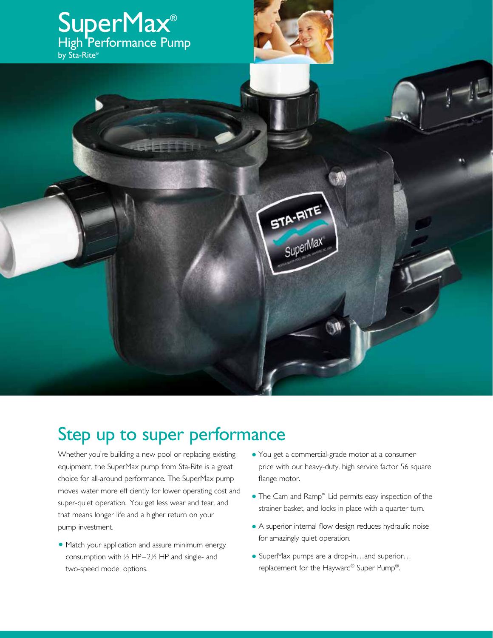

## Step up to super performance

Whether you're building a new pool or replacing existing equipment, the SuperMax pump from Sta-Rite is a great choice for all-around performance. The SuperMax pump moves water more efficiently for lower operating cost and super-quiet operation. You get less wear and tear, and that means longer life and a higher return on your pump investment.

- **•** Match your application and assure minimum energy consumption with  $\frac{1}{2}$  HP–2 $\frac{1}{2}$  HP and single- and two-speed model options.
- **•** You get a commercial-grade motor at a consumer price with our heavy-duty, high service factor 56 square flange motor.
- **•** The Cam and Ramp™ Lid permits easy inspection of the strainer basket, and locks in place with a quarter turn.
- **•** A superior internal flow design reduces hydraulic noise for amazingly quiet operation.
- **•** SuperMax pumps are a drop-in…and superior… replacement for the Hayward® Super Pump®.